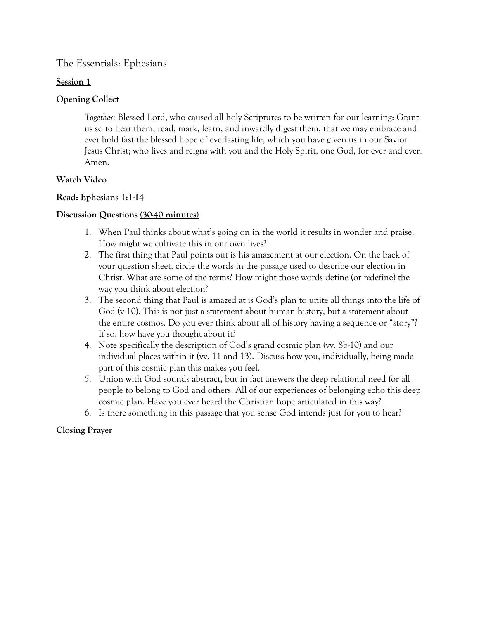# **Session 1**

# **Opening Collect**

*Together:* Blessed Lord, who caused all holy Scriptures to be written for our learning: Grant us so to hear them, read, mark, learn, and inwardly digest them, that we may embrace and ever hold fast the blessed hope of everlasting life, which you have given us in our Savior Jesus Christ; who lives and reigns with you and the Holy Spirit, one God, for ever and ever. Amen.

# **Watch Video**

# **Read: Ephesians 1:1-14**

# **Discussion Questions (30-40 minutes)**

- 1. When Paul thinks about what's going on in the world it results in wonder and praise. How might we cultivate this in our own lives?
- 2. The first thing that Paul points out is his amazement at our election. On the back of your question sheet, circle the words in the passage used to describe our election in Christ. What are some of the terms? How might those words define (or *re*define) the way you think about election?
- 3. The second thing that Paul is amazed at is God's plan to unite all things into the life of God (v 10). This is not just a statement about human history, but a statement about the entire cosmos. Do you ever think about all of history having a sequence or "story"? If so, how have you thought about it?
- 4. Note specifically the description of God's grand cosmic plan (vv. 8b-10) and our individual places within it (vv. 11 and 13). Discuss how you, individually, being made part of this cosmic plan this makes you feel.
- 5. Union with God sounds abstract, but in fact answers the deep relational need for all people to belong to God and others. All of our experiences of belonging echo this deep cosmic plan. Have you ever heard the Christian hope articulated in this way?
- 6. Is there something in this passage that you sense God intends just for you to hear?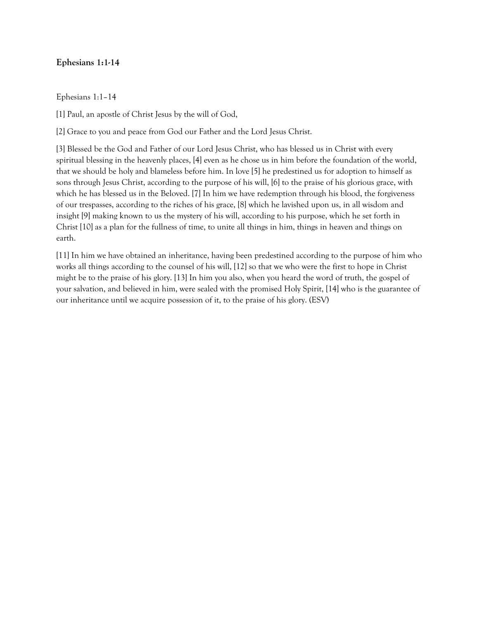### **Ephesians 1:1-14**

Ephesians 1:1–14

[1] Paul, an apostle of Christ Jesus by the will of God,

[2] Grace to you and peace from God our Father and the Lord Jesus Christ.

[3] Blessed be the God and Father of our Lord Jesus Christ, who has blessed us in Christ with every spiritual blessing in the heavenly places, [4] even as he chose us in him before the foundation of the world, that we should be holy and blameless before him. In love [5] he predestined us for adoption to himself as sons through Jesus Christ, according to the purpose of his will, [6] to the praise of his glorious grace, with which he has blessed us in the Beloved. [7] In him we have redemption through his blood, the forgiveness of our trespasses, according to the riches of his grace, [8] which he lavished upon us, in all wisdom and insight [9] making known to us the mystery of his will, according to his purpose, which he set forth in Christ [10] as a plan for the fullness of time, to unite all things in him, things in heaven and things on earth.

[11] In him we have obtained an inheritance, having been predestined according to the purpose of him who works all things according to the counsel of his will, [12] so that we who were the first to hope in Christ might be to the praise of his glory. [13] In him you also, when you heard the word of truth, the gospel of your salvation, and believed in him, were sealed with the promised Holy Spirit, [14] who is the guarantee of our inheritance until we acquire possession of it, to the praise of his glory. (ESV)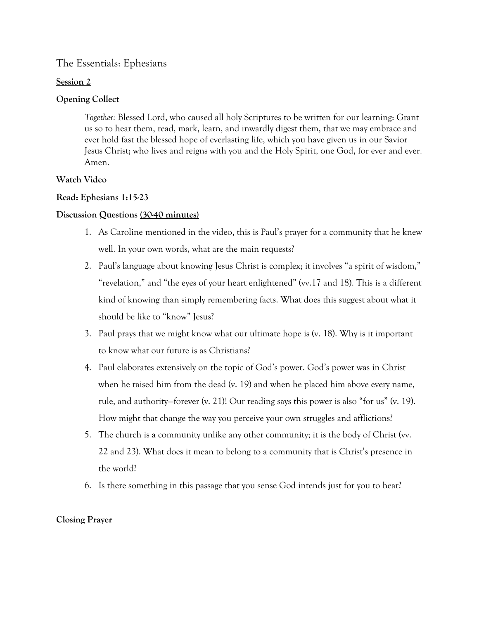# **Session 2**

# **Opening Collect**

*Together:* Blessed Lord, who caused all holy Scriptures to be written for our learning: Grant us so to hear them, read, mark, learn, and inwardly digest them, that we may embrace and ever hold fast the blessed hope of everlasting life, which you have given us in our Savior Jesus Christ; who lives and reigns with you and the Holy Spirit, one God, for ever and ever. Amen.

# **Watch Video**

# **Read: Ephesians 1:15-23**

# **Discussion Questions (30-40 minutes)**

- 1. As Caroline mentioned in the video, this is Paul's prayer for a community that he knew well. In your own words, what are the main requests?
- 2. Paul's language about knowing Jesus Christ is complex; it involves "a spirit of wisdom," "revelation," and "the eyes of your heart enlightened" (vv.17 and 18). This is a different kind of knowing than simply remembering facts. What does this suggest about what it should be like to "know" Jesus?
- 3. Paul prays that we might know what our ultimate hope is (v. 18). Why is it important to know what our future is as Christians?
- 4. Paul elaborates extensively on the topic of God's power. God's power was in Christ when he raised him from the dead (v. 19) and when he placed him above every name, rule, and authority—forever (v. 21)! Our reading says this power is also "for us" (v. 19). How might that change the way you perceive your own struggles and afflictions?
- 5. The church is a community unlike any other community; it is the body of Christ (vv. 22 and 23). What does it mean to belong to a community that is Christ's presence in the world?
- 6. Is there something in this passage that you sense God intends just for you to hear?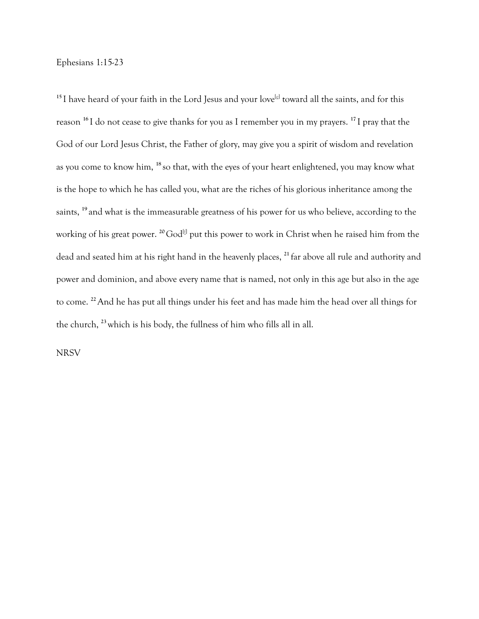Ephesians 1:15-23

<sup>15</sup> I have heard of your faith in the Lord Jesus and your love<sup>[e]</sup> toward all the saints, and for this reason **<sup>16</sup>**I do not cease to give thanks for you as I remember you in my prayers. **<sup>17</sup>**I pray that the God of our Lord Jesus Christ, the Father of glory, may give you a spirit of wisdom and revelation as you come to know him, **<sup>18</sup>**so that, with the eyes of your heart enlightened, you may know what is the hope to which he has called you, what are the riches of his glorious inheritance among the saints, <sup>19</sup> and what is the immeasurable greatness of his power for us who believe, according to the working of his great power. <sup>20</sup> God<sup>[f]</sup> put this power to work in Christ when he raised him from the dead and seated him at his right hand in the heavenly places, **<sup>21</sup>**far above all rule and authority and power and dominion, and above every name that is named, not only in this age but also in the age to come. **<sup>22</sup>**And he has put all things under his feet and has made him the head over all things for the church, **<sup>23</sup>**which is his body, the fullness of him who fills all in all.

**NRSV**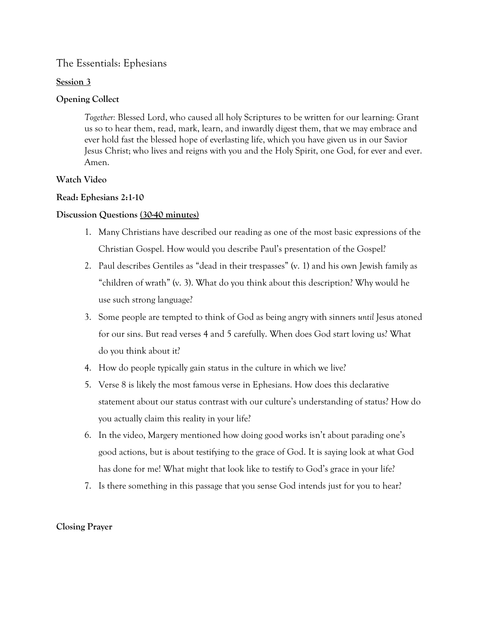#### **Session 3**

# **Opening Collect**

*Together:* Blessed Lord, who caused all holy Scriptures to be written for our learning: Grant us so to hear them, read, mark, learn, and inwardly digest them, that we may embrace and ever hold fast the blessed hope of everlasting life, which you have given us in our Savior Jesus Christ; who lives and reigns with you and the Holy Spirit, one God, for ever and ever. Amen.

### **Watch Video**

### **Read: Ephesians 2:1-10**

### **Discussion Questions (30-40 minutes)**

- 1. Many Christians have described our reading as one of the most basic expressions of the Christian Gospel. How would you describe Paul's presentation of the Gospel?
- 2. Paul describes Gentiles as "dead in their trespasses" (v. 1) and his own Jewish family as "children of wrath" (v. 3). What do you think about this description? Why would he use such strong language?
- 3. Some people are tempted to think of God as being angry with sinners *until* Jesus atoned for our sins. But read verses 4 and 5 carefully. When does God start loving us? What do you think about it?
- 4. How do people typically gain status in the culture in which we live?
- 5. Verse 8 is likely the most famous verse in Ephesians. How does this declarative statement about our status contrast with our culture's understanding of status? How do you actually claim this reality in your life?
- 6. In the video, Margery mentioned how doing good works isn't about parading one's good actions, but is about testifying to the grace of God. It is saying look at what God has done for me! What might that look like to testify to God's grace in your life?
- 7. Is there something in this passage that you sense God intends just for you to hear?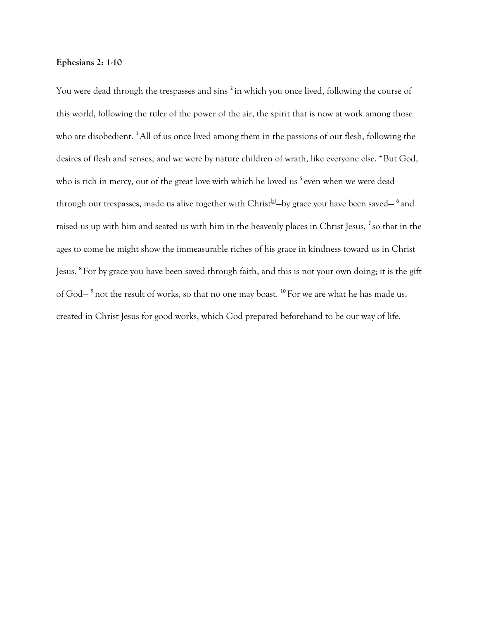#### **Ephesians 2: 1-10**

You were dead through the trespasses and sins **<sup>2</sup>**in which you once lived, following the course of this world, following the ruler of the power of the air, the spirit that is now at work among those who are disobedient. **<sup>3</sup>**All of us once lived among them in the passions of our flesh, following the desires of flesh and senses, and we were by nature children of wrath, like everyone else. **<sup>4</sup>**But God, who is rich in mercy, out of the great love with which he loved us <sup>5</sup> even when we were dead through our trespasses, made us alive together with Christ<sup>[a]</sup>—by grace you have been saved— <sup>6</sup> and raised us up with him and seated us with him in the heavenly places in Christ Jesus, **<sup>7</sup>**so that in the ages to come he might show the immeasurable riches of his grace in kindness toward us in Christ Jesus. **<sup>8</sup>**For by grace you have been saved through faith, and this is not your own doing; it is the gift of God— **<sup>9</sup>**not the result of works, so that no one may boast. **<sup>10</sup>**For we are what he has made us, created in Christ Jesus for good works, which God prepared beforehand to be our way of life.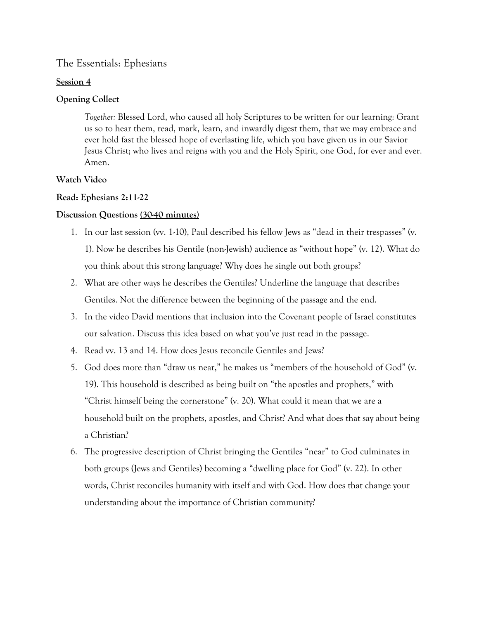#### **Session 4**

#### **Opening Collect**

*Together:* Blessed Lord, who caused all holy Scriptures to be written for our learning: Grant us so to hear them, read, mark, learn, and inwardly digest them, that we may embrace and ever hold fast the blessed hope of everlasting life, which you have given us in our Savior Jesus Christ; who lives and reigns with you and the Holy Spirit, one God, for ever and ever. Amen.

#### **Watch Video**

#### **Read: Ephesians 2:11-22**

#### **Discussion Questions (30-40 minutes)**

- 1. In our last session (vv. 1-10), Paul described his fellow Jews as "dead in their trespasses" (v. 1). Now he describes his Gentile (non-Jewish) audience as "without hope" (v. 12). What do you think about this strong language? Why does he single out both groups?
- 2. What are other ways he describes the Gentiles? Underline the language that describes Gentiles. Not the difference between the beginning of the passage and the end.
- 3. In the video David mentions that inclusion into the Covenant people of Israel constitutes our salvation. Discuss this idea based on what you've just read in the passage.
- 4. Read vv. 13 and 14. How does Jesus reconcile Gentiles and Jews?
- 5. God does more than "draw us near," he makes us "members of the household of God" (v. 19). This household is described as being built on "the apostles and prophets," with "Christ himself being the cornerstone" (v. 20). What could it mean that we are a household built on the prophets, apostles, and Christ? And what does that say about being a Christian?
- 6. The progressive description of Christ bringing the Gentiles "near" to God culminates in both groups (Jews and Gentiles) becoming a "dwelling place for God" (v. 22). In other words, Christ reconciles humanity with itself and with God. How does that change your understanding about the importance of Christian community?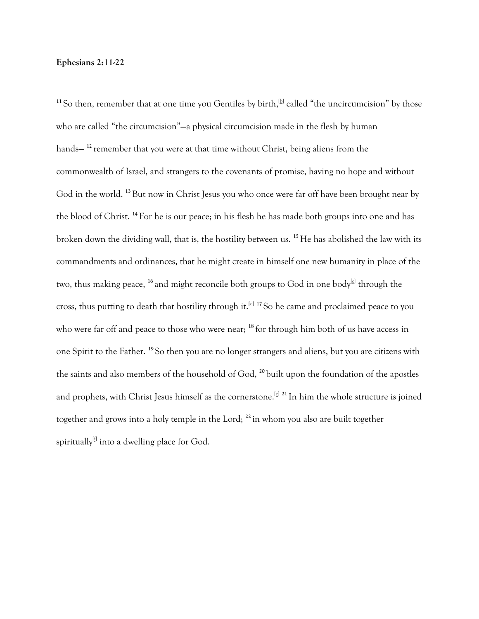#### **Ephesians 2:11-22**

<sup>11</sup> So then, remember that at one time you Gentiles by birth,  $[$ b $]$  called "the uncircumcision" by those who are called "the circumcision"—a physical circumcision made in the flesh by human hands— **<sup>12</sup>** remember that you were at that time without Christ, being aliens from the commonwealth of Israel, and strangers to the covenants of promise, having no hope and without God in the world. **<sup>13</sup>**But now in Christ Jesus you who once were far off have been brought near by the blood of Christ. **<sup>14</sup>** For he is our peace; in his flesh he has made both groups into one and has broken down the dividing wall, that is, the hostility between us. **<sup>15</sup>**He has abolished the law with its commandments and ordinances, that he might create in himself one new humanity in place of the two, thus making peace, <sup>16</sup> and might reconcile both groups to God in one body<sup>[\[c\]](https://www.biblegateway.com/passage/?search=Ephesians%202&version=NRSV#fen-NRSV-29229c)</sup> through the cross, thus putting to death that hostility through it.[\[d\]](https://www.biblegateway.com/passage/?search=Ephesians%202&version=NRSV#fen-NRSV-29229d) **<sup>17</sup>** So he came and proclaimed peace to you who were far off and peace to those who were near; **<sup>18</sup>** for through him both of us have access in one Spirit to the Father. **<sup>19</sup>** So then you are no longer strangers and aliens, but you are citizens with the saints and also members of the household of God, **<sup>20</sup>** built upon the foundation of the apostles and prophets, with Christ Jesus himself as the cornerstone.<sup>[\[e\]](https://www.biblegateway.com/passage/?search=Ephesians%202&version=NRSV#fen-NRSV-29233e) 21</sup> In him the whole structure is joined together and grows into a holy temple in the Lord; **<sup>22</sup>** in whom you also are built together spiritually $^{\text{lf}}$  into a dwelling place for God.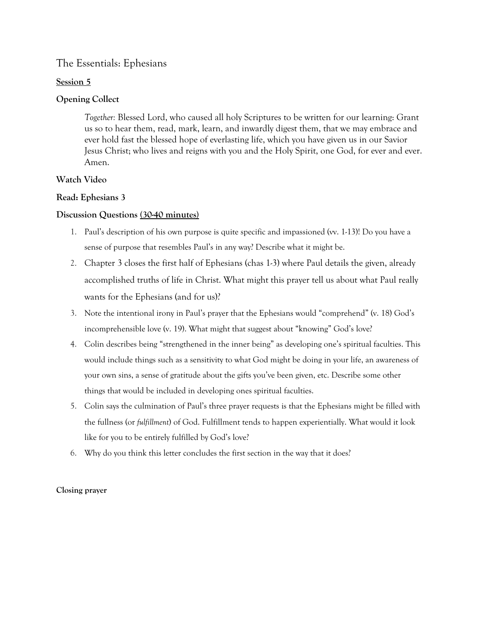## **Session 5**

# **Opening Collect**

*Together:* Blessed Lord, who caused all holy Scriptures to be written for our learning: Grant us so to hear them, read, mark, learn, and inwardly digest them, that we may embrace and ever hold fast the blessed hope of everlasting life, which you have given us in our Savior Jesus Christ; who lives and reigns with you and the Holy Spirit, one God, for ever and ever. Amen.

# **Watch Video**

# **Read: Ephesians 3**

# **Discussion Questions (30-40 minutes)**

- 1. Paul's description of his own purpose is quite specific and impassioned (vv. 1-13)! Do you have a sense of purpose that resembles Paul's in any way? Describe what it might be.
- 2. Chapter 3 closes the first half of Ephesians (chas 1-3) where Paul details the given, already accomplished truths of life in Christ. What might this prayer tell us about what Paul really wants for the Ephesians (and for us)?
- 3. Note the intentional irony in Paul's prayer that the Ephesians would "comprehend" (v. 18) God's incomprehensible love (v. 19). What might that suggest about "knowing" God's love?
- 4. Colin describes being "strengthened in the inner being" as developing one's spiritual faculties. This would include things such as a sensitivity to what God might be doing in your life, an awareness of your own sins, a sense of gratitude about the gifts you've been given, etc. Describe some other things that would be included in developing ones spiritual faculties.
- 5. Colin says the culmination of Paul's three prayer requests is that the Ephesians might be filled with the fullness (or *fulfillment*) of God. Fulfillment tends to happen experientially. What would it look like for you to be entirely fulfilled by God's love?
- 6. Why do you think this letter concludes the first section in the way that it does?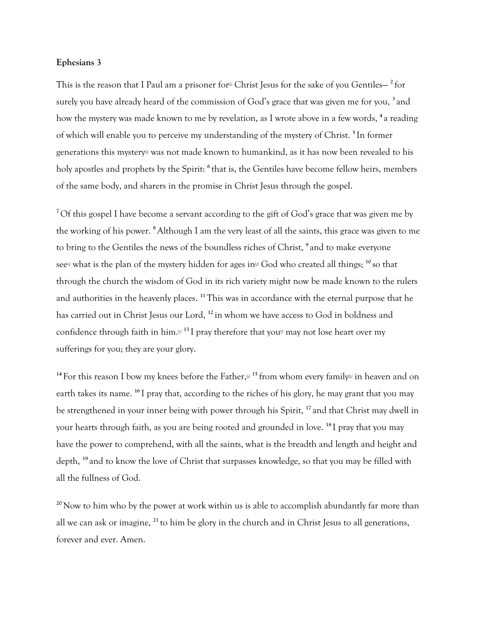#### **Ephesians 3**

This is the reason that I Paul am a prisoner for $\triangleleft$  Christ Jesus for the sake of you Gentiles— $^2$  for surely you have already heard of the commission of God's grace that was given me for you, **<sup>3</sup>**and how the mystery was made known to me by revelation, as I wrote above in a few words, **<sup>4</sup>**a reading of which will enable you to perceive my understanding of the mystery of Christ. **<sup>5</sup>**In former generations this mystery® was not made known to humankind, as it has now been revealed to his holy apostles and prophets by the Spirit: **<sup>6</sup>**that is, the Gentiles have become fellow heirs, members of the same body, and sharers in the promise in Christ Jesus through the gospel.

<sup>7</sup>Of this gospel I have become a servant according to the gift of God's grace that was given me by the working of his power. **<sup>8</sup>**Although I am the very least of all the saints, this grace was given to me to bring to the Gentiles the news of the boundless riches of Christ, **<sup>9</sup>**and to make everyone see<sup>t what is the plan of the mystery hidden for ages in<sup>th</sup> God who created all things; <sup>10</sup> so that</sup> through the church the wisdom of God in its rich variety might now be made known to the rulers and authorities in the heavenly places. **<sup>11</sup>**This was in accordance with the eternal purpose that he has carried out in Christ Jesus our Lord, **<sup>12</sup>**in whom we have access to God in boldness and confidence through faith in him.<sup>[4]</sup> <sup>13</sup>I pray therefore that you<sup> $\text{\textsterling}$ </sup> may not lose heart over my sufferings for you; they are your glory.

<sup>14</sup> For this reason I bow my knees before the Father,<sup>[d]</sup> <sup>15</sup> from whom every family<sup>[1]</sup> in heaven and on earth takes its name. **<sup>16</sup>**I pray that, according to the riches of his glory, he may grant that you may be strengthened in your inner being with power through his Spirit, **<sup>17</sup>**and that Christ may dwell in your hearts through faith, as you are being rooted and grounded in love. **<sup>18</sup>**I pray that you may have the power to comprehend, with all the saints, what is the breadth and length and height and depth, **<sup>19</sup>**and to know the love of Christ that surpasses knowledge, so that you may be filled with all the fullness of God.

<sup>20</sup>Now to him who by the power at work within us is able to accomplish abundantly far more than all we can ask or imagine, **<sup>21</sup>**to him be glory in the church and in Christ Jesus to all generations, forever and ever. Amen.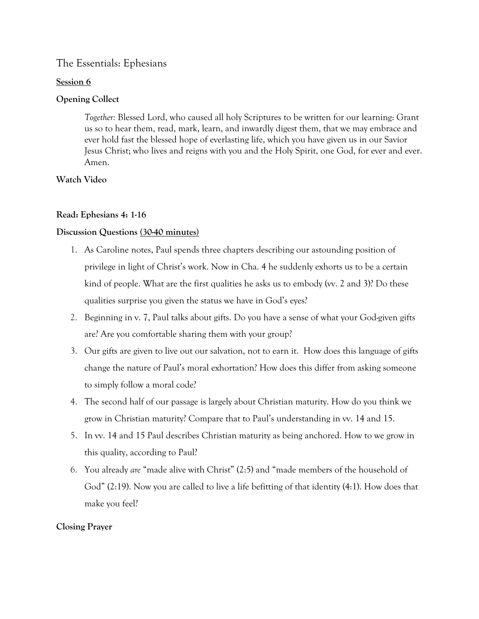#### **Session 6**

# **Opening Collect**

*Together:* Blessed Lord, who caused all holy Scriptures to be written for our learning: Grant us so to hear them, read, mark, learn, and inwardly digest them, that we may embrace and ever hold fast the blessed hope of everlasting life, which you have given us in our Savior Jesus Christ; who lives and reigns with you and the Holy Spirit, one God, for ever and ever. Amen.

### **Watch Video**

### **Read: Ephesians 4: 1-16**

### **Discussion Questions (30-40 minutes)**

- 1. As Caroline notes, Paul spends three chapters describing our astounding position of privilege in light of Christ's work. Now in Cha. 4 he suddenly exhorts us to be a certain kind of people. What are the first qualities he asks us to embody (vv. 2 and 3)? Do these qualities surprise you given the status we have in God's eyes?
- 2. Beginning in v. 7, Paul talks about gifts. Do you have a sense of what your God-given gifts are? Are you comfortable sharing them with your group?
- 3. Our gifts are given to live out our salvation, not to earn it. How does this language of gifts change the nature of Paul's moral exhortation? How does this differ from asking someone to simply follow a moral code?
- 4. The second half of our passage is largely about Christian maturity. How do you think we grow in Christian maturity? Compare that to Paul's understanding in vv. 14 and 15.
- 5. In vv. 14 and 15 Paul describes Christian maturity as being anchored. How to we grow in this quality, according to Paul?
- 6. You already *are* "made alive with Christ" (2:5) and "made members of the household of God" (2:19). Now you are called to live a life befitting of that identity (4:1). How does that make you feel?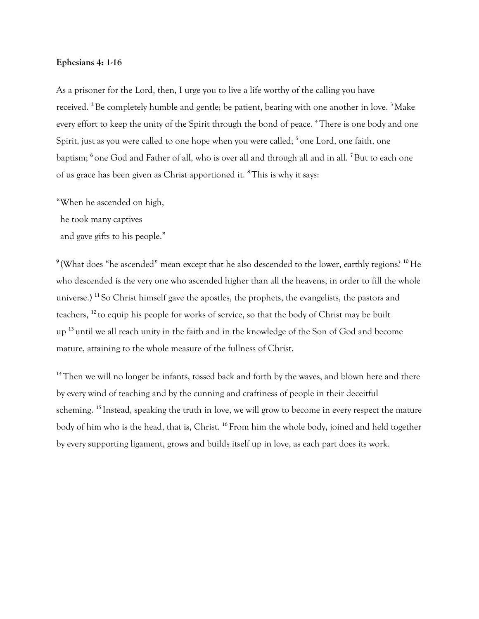#### **Ephesians 4: 1-16**

As a prisoner for the Lord, then, I urge you to live a life worthy of the calling you have received. **<sup>2</sup>**Be completely humble and gentle; be patient, bearing with one another in love. **<sup>3</sup>**Make every effort to keep the unity of the Spirit through the bond of peace. **<sup>4</sup>**There is one body and one Spirit, just as you were called to one hope when you were called; **<sup>5</sup>**one Lord, one faith, one baptism; **<sup>6</sup>**one God and Father of all, who is over all and through all and in all. **<sup>7</sup>**But to each one of us grace has been given as Christ apportioned it. **<sup>8</sup>**This is why it says:

"When he ascended on high, he took many captives

and gave gifts to his people."

**<sup>9</sup>**(What does "he ascended" mean except that he also descended to the lower, earthly regions? **<sup>10</sup>**He who descended is the very one who ascended higher than all the heavens, in order to fill the whole universe.) **<sup>11</sup>**So Christ himself gave the apostles, the prophets, the evangelists, the pastors and teachers, **<sup>12</sup>**to equip his people for works of service, so that the body of Christ may be built up **<sup>13</sup>**until we all reach unity in the faith and in the knowledge of the Son of God and become mature, attaining to the whole measure of the fullness of Christ.

<sup>14</sup>Then we will no longer be infants, tossed back and forth by the waves, and blown here and there by every wind of teaching and by the cunning and craftiness of people in their deceitful scheming. **<sup>15</sup>**Instead, speaking the truth in love, we will grow to become in every respect the mature body of him who is the head, that is, Christ. **<sup>16</sup>**From him the whole body, joined and held together by every supporting ligament, grows and builds itself up in love, as each part does its work.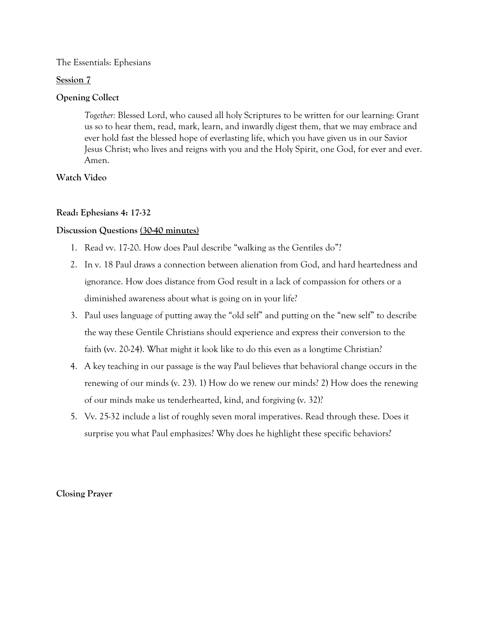#### **Session 7**

#### **Opening Collect**

*Together:* Blessed Lord, who caused all holy Scriptures to be written for our learning: Grant us so to hear them, read, mark, learn, and inwardly digest them, that we may embrace and ever hold fast the blessed hope of everlasting life, which you have given us in our Savior Jesus Christ; who lives and reigns with you and the Holy Spirit, one God, for ever and ever. Amen.

#### **Watch Video**

### **Read: Ephesians 4: 17-32**

### **Discussion Questions (30-40 minutes)**

- 1. Read vv. 17-20. How does Paul describe "walking as the Gentiles do"?
- 2. In v. 18 Paul draws a connection between alienation from God, and hard heartedness and ignorance. How does distance from God result in a lack of compassion for others or a diminished awareness about what is going on in your life?
- 3. Paul uses language of putting away the "old self" and putting on the "new self" to describe the way these Gentile Christians should experience and express their conversion to the faith (vv. 20-24). What might it look like to do this even as a longtime Christian?
- 4. A key teaching in our passage is the way Paul believes that behavioral change occurs in the renewing of our minds (v. 23). 1) How do we renew our minds? 2) How does the renewing of our minds make us tenderhearted, kind, and forgiving (v. 32)?
- 5. Vv. 25-32 include a list of roughly seven moral imperatives. Read through these. Does it surprise you what Paul emphasizes? Why does he highlight these specific behaviors?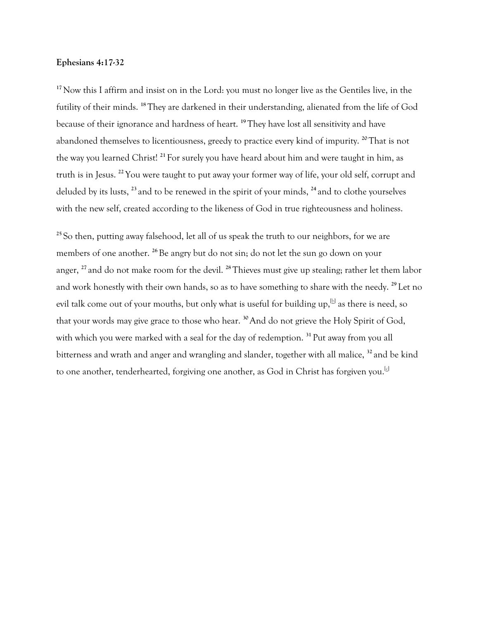#### **Ephesians 4:17-32**

<sup>17</sup>Now this I affirm and insist on in the Lord: you must no longer live as the Gentiles live, in the futility of their minds. **<sup>18</sup>**They are darkened in their understanding, alienated from the life of God because of their ignorance and hardness of heart. **<sup>19</sup>**They have lost all sensitivity and have abandoned themselves to licentiousness, greedy to practice every kind of impurity. **<sup>20</sup>**That is not the way you learned Christ! **<sup>21</sup>**For surely you have heard about him and were taught in him, as truth is in Jesus. **<sup>22</sup>**You were taught to put away your former way of life, your old self, corrupt and deluded by its lusts, **<sup>23</sup>**and to be renewed in the spirit of your minds, **<sup>24</sup>**and to clothe yourselves with the new self, created according to the likeness of God in true righteousness and holiness.

**<sup>25</sup>**So then, putting away falsehood, let all of us speak the truth to our neighbors, for we are members of one another. <sup>26</sup>Be angry but do not sin; do not let the sun go down on your anger, **<sup>27</sup>**and do not make room for the devil. **<sup>28</sup>**Thieves must give up stealing; rather let them labor and work honestly with their own hands, so as to have something to share with the needy. **<sup>29</sup>**Let no evil talk come out of your mouths, but only what is useful for building up, $\mathbb B$  as there is need, so that your words may give grace to those who hear. **<sup>30</sup>**And do not grieve the Holy Spirit of God, with which you were marked with a seal for the day of redemption. **<sup>31</sup>**Put away from you all bitterness and wrath and anger and wrangling and slander, together with all malice, **<sup>32</sup>**and be kind to one another, tenderhearted, forgiving one another, as God in Christ has forgiven you.<sup>[c]</sup>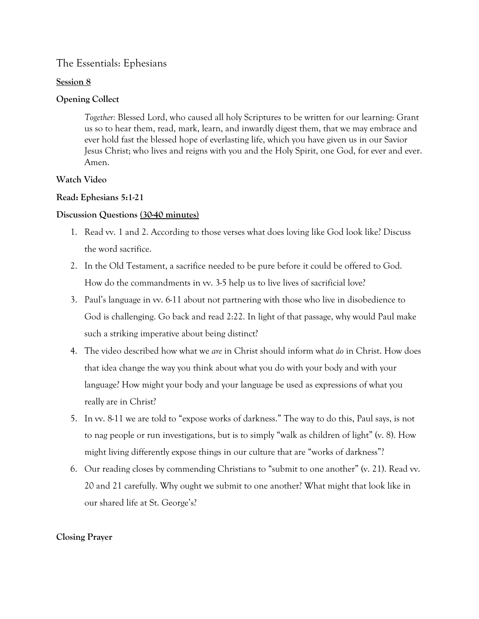## **Session 8**

# **Opening Collect**

*Together:* Blessed Lord, who caused all holy Scriptures to be written for our learning: Grant us so to hear them, read, mark, learn, and inwardly digest them, that we may embrace and ever hold fast the blessed hope of everlasting life, which you have given us in our Savior Jesus Christ; who lives and reigns with you and the Holy Spirit, one God, for ever and ever. Amen.

# **Watch Video**

# **Read: Ephesians 5:1-21**

# **Discussion Questions (30-40 minutes)**

- 1. Read vv. 1 and 2. According to those verses what does loving like God look like? Discuss the word sacrifice.
- 2. In the Old Testament, a sacrifice needed to be pure before it could be offered to God. How do the commandments in vv. 3-5 help us to live lives of sacrificial love?
- 3. Paul's language in vv. 6-11 about not partnering with those who live in disobedience to God is challenging. Go back and read 2:22. In light of that passage, why would Paul make such a striking imperative about being distinct?
- 4. The video described how what we *are* in Christ should inform what *do* in Christ. How does that idea change the way you think about what you do with your body and with your language? How might your body and your language be used as expressions of what you really are in Christ?
- 5. In vv. 8-11 we are told to "expose works of darkness." The way to do this, Paul says, is not to nag people or run investigations, but is to simply "walk as children of light" (v. 8). How might living differently expose things in our culture that are "works of darkness"?
- 6. Our reading closes by commending Christians to "submit to one another" (v. 21). Read vv. 20 and 21 carefully. Why ought we submit to one another? What might that look like in our shared life at St. George's?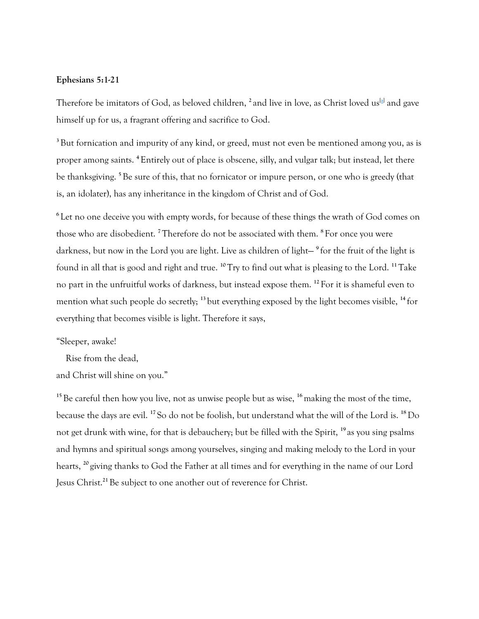#### **Ephesians 5:1-21**

Therefore be imitators of God, as beloved children, <sup>2</sup> and live in love, as Christ loved us<sup>[a]</sup> and gave himself up for us, a fragrant offering and sacrifice to God.

<sup>3</sup>But fornication and impurity of any kind, or greed, must not even be mentioned among you, as is proper among saints. **<sup>4</sup>**Entirely out of place is obscene, silly, and vulgar talk; but instead, let there be thanksgiving. **<sup>5</sup>**Be sure of this, that no fornicator or impure person, or one who is greedy (that is, an idolater), has any inheritance in the kingdom of Christ and of God.

**<sup>6</sup>**Let no one deceive you with empty words, for because of these things the wrath of God comes on those who are disobedient. **<sup>7</sup>**Therefore do not be associated with them. **<sup>8</sup>**For once you were darkness, but now in the Lord you are light. Live as children of light— **<sup>9</sup>**for the fruit of the light is found in all that is good and right and true. **<sup>10</sup>**Try to find out what is pleasing to the Lord. **<sup>11</sup>**Take no part in the unfruitful works of darkness, but instead expose them. **<sup>12</sup>**For it is shameful even to mention what such people do secretly; **<sup>13</sup>**but everything exposed by the light becomes visible, **<sup>14</sup>**for everything that becomes visible is light. Therefore it says,

#### "Sleeper, awake!

Rise from the dead,

and Christ will shine on you."

<sup>15</sup>Be careful then how you live, not as unwise people but as wise, <sup>16</sup> making the most of the time, because the days are evil. **<sup>17</sup>**So do not be foolish, but understand what the will of the Lord is. **<sup>18</sup>**Do not get drunk with wine, for that is debauchery; but be filled with the Spirit, **<sup>19</sup>**as you sing psalms and hymns and spiritual songs among yourselves, singing and making melody to the Lord in your hearts, **<sup>20</sup>**giving thanks to God the Father at all times and for everything in the name of our Lord Jesus Christ.**21** Be subject to one another out of reverence for Christ.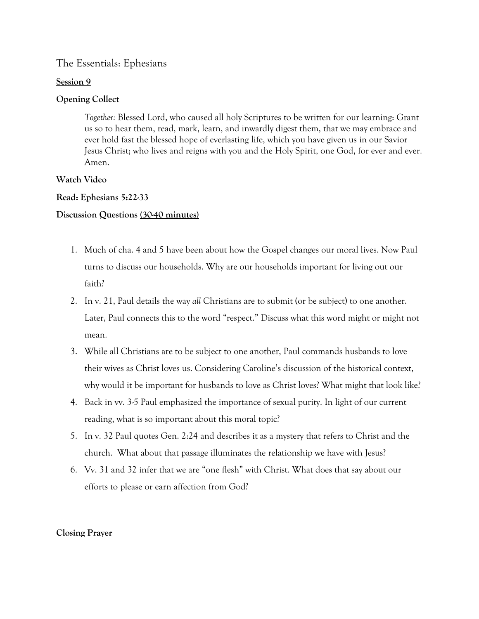#### **Session 9**

# **Opening Collect**

*Together:* Blessed Lord, who caused all holy Scriptures to be written for our learning: Grant us so to hear them, read, mark, learn, and inwardly digest them, that we may embrace and ever hold fast the blessed hope of everlasting life, which you have given us in our Savior Jesus Christ; who lives and reigns with you and the Holy Spirit, one God, for ever and ever. Amen.

### **Watch Video**

### **Read: Ephesians 5:22-33**

### **Discussion Questions (30-40 minutes)**

- 1. Much of cha. 4 and 5 have been about how the Gospel changes our moral lives. Now Paul turns to discuss our households. Why are our households important for living out our faith?
- 2. In v. 21, Paul details the way *all* Christians are to submit (or be subject) to one another. Later, Paul connects this to the word "respect." Discuss what this word might or might not mean.
- 3. While all Christians are to be subject to one another, Paul commands husbands to love their wives as Christ loves us. Considering Caroline's discussion of the historical context, why would it be important for husbands to love as Christ loves? What might that look like?
- 4. Back in vv. 3-5 Paul emphasized the importance of sexual purity. In light of our current reading, what is so important about this moral topic?
- 5. In v. 32 Paul quotes Gen. 2:24 and describes it as a mystery that refers to Christ and the church. What about that passage illuminates the relationship we have with Jesus?
- 6. Vv. 31 and 32 infer that we are "one flesh" with Christ. What does that say about our efforts to please or earn affection from God?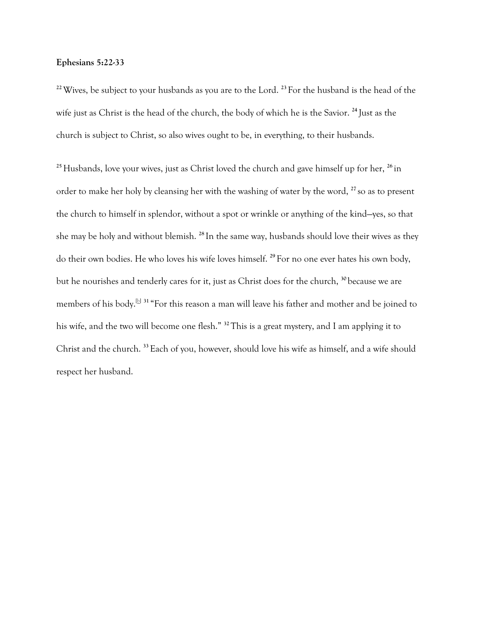#### **Ephesians 5:22-33**

**<sup>22</sup>**Wives, be subject to your husbands as you are to the Lord. **<sup>23</sup>**For the husband is the head of the wife just as Christ is the head of the church, the body of which he is the Savior. **<sup>24</sup>**Just as the church is subject to Christ, so also wives ought to be, in everything, to their husbands.

<sup>25</sup> Husbands, love your wives, just as Christ loved the church and gave himself up for her, <sup>26</sup>in order to make her holy by cleansing her with the washing of water by the word, **<sup>27</sup>**so as to present the church to himself in splendor, without a spot or wrinkle or anything of the kind—yes, so that she may be holy and without blemish. **<sup>28</sup>**In the same way, husbands should love their wives as they do their own bodies. He who loves his wife loves himself. **<sup>29</sup>**For no one ever hates his own body, but he nourishes and tenderly cares for it, just as Christ does for the church, **<sup>30</sup>**because we are members of his body.[b] **<sup>31</sup>**"For this reason a man will leave his father and mother and be joined to his wife, and the two will become one flesh." **<sup>32</sup>**This is a great mystery, and I am applying it to Christ and the church. **<sup>33</sup>**Each of you, however, should love his wife as himself, and a wife should respect her husband.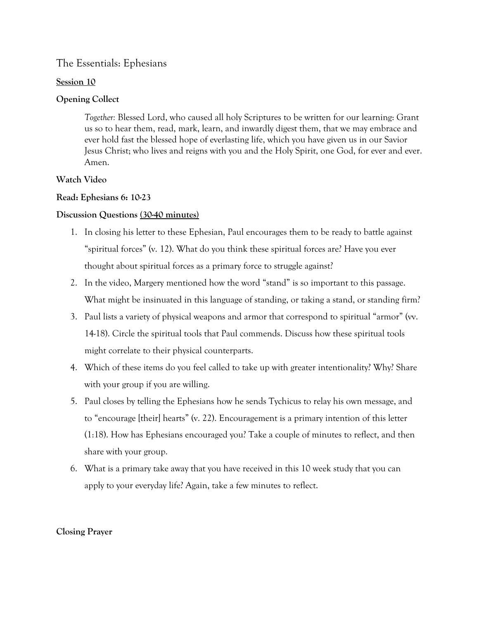#### **Session 10**

# **Opening Collect**

*Together:* Blessed Lord, who caused all holy Scriptures to be written for our learning: Grant us so to hear them, read, mark, learn, and inwardly digest them, that we may embrace and ever hold fast the blessed hope of everlasting life, which you have given us in our Savior Jesus Christ; who lives and reigns with you and the Holy Spirit, one God, for ever and ever. Amen.

# **Watch Video**

# **Read: Ephesians 6: 10-23**

### **Discussion Questions (30-40 minutes)**

- 1. In closing his letter to these Ephesian, Paul encourages them to be ready to battle against "spiritual forces" (v. 12). What do you think these spiritual forces are? Have you ever thought about spiritual forces as a primary force to struggle against?
- 2. In the video, Margery mentioned how the word "stand" is so important to this passage. What might be insinuated in this language of standing, or taking a stand, or standing firm?
- 3. Paul lists a variety of physical weapons and armor that correspond to spiritual "armor" (vv. 14-18). Circle the spiritual tools that Paul commends. Discuss how these spiritual tools might correlate to their physical counterparts.
- 4. Which of these items do you feel called to take up with greater intentionality? Why? Share with your group if you are willing.
- 5. Paul closes by telling the Ephesians how he sends Tychicus to relay his own message, and to "encourage [their] hearts" (v. 22). Encouragement is a primary intention of this letter (1:18). How has Ephesians encouraged you? Take a couple of minutes to reflect, and then share with your group.
- 6. What is a primary take away that you have received in this 10 week study that you can apply to your everyday life? Again, take a few minutes to reflect.